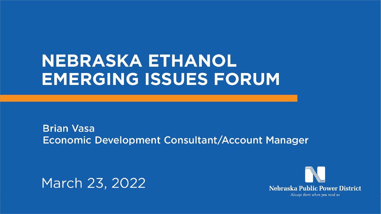## NEBRASKA ETHANOL **EMERGING ISSUES FORUM**

**Brian Vasa** Economic Development Consultant/Account Manager

March 23, 2022



## **Nebraska Public Power District** Always there when you need us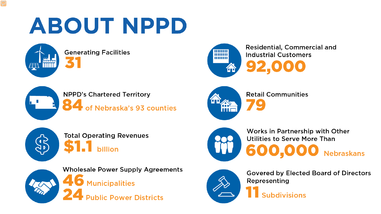## ABOUT NPPD

**Generating Facilities** 















**AD** 

**Wholesale Power Supply Agreements 6** Municipalities Jolic Power Districts

## Residential, Commercial and **Industrial Customers**

## **Retail Communities**

### Works in Partnership with Other Utilities to Serve More Than 600.000 **Nebraskans**

**Govered by Elected Board of Directors** Representing **Subdivisions**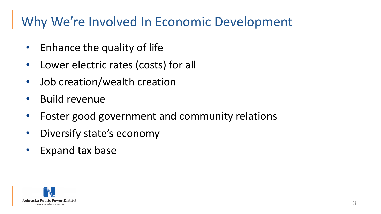- Enhance the quality of life
- Lower electric rates (costs) for all
- Job creation/wealth creation
- Build revenue
- Foster good government and community relations
- Diversify state's economy
- Expand tax base



## Why We're Involved In Economic Development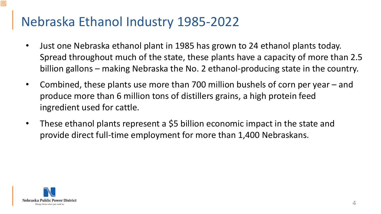- Just one Nebraska ethanol plant in 1985 has grown to 24 ethanol plants today. Spread throughout much of the state, these plants have a capacity of more than 2.5 billion gallons – making Nebraska the No. 2 ethanol-producing state in the country.
- Combined, these plants use more than 700 million bushels of corn per year and produce more than 6 million tons of distillers grains, a high protein feed ingredient used for cattle.
- These ethanol plants represent a \$5 billion economic impact in the state and provide direct full-time employment for more than 1,400 Nebraskans.



## Nebraska Ethanol Industry 1985-2022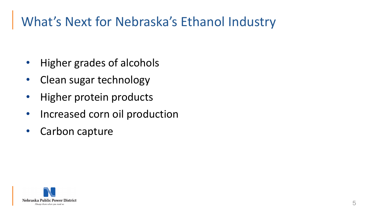- Higher grades of alcohols
- Clean sugar technology
- Higher protein products
- Increased corn oil production
- Carbon capture



## What's Next for Nebraska's Ethanol Industry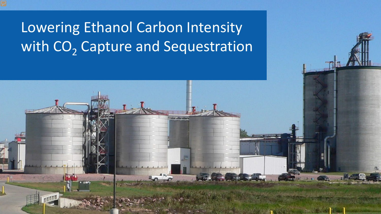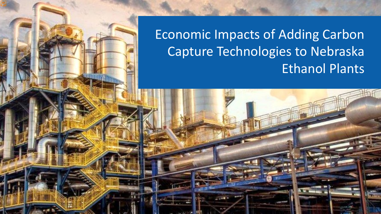



## Economic Impacts of Adding Carbon Capture Technologies to Nebraska Ethanol Plants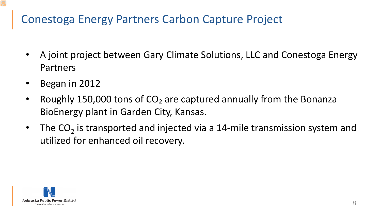- A joint project between Gary Climate Solutions, LLC and Conestoga Energy Partners
- Began in 2012
- Roughly 150,000 tons of CO<sub>2</sub> are captured annually from the Bonanza BioEnergy plant in Garden City, Kansas.
- The  $CO<sub>2</sub>$  is transported and injected via a 14-mile transmission system and utilized for enhanced oil recovery.



### Conestoga Energy Partners Carbon Capture Project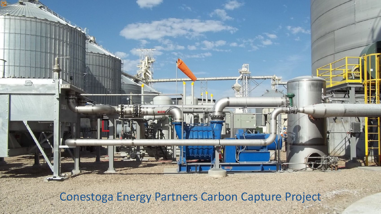

Conestoga Energy Partners Carbon Capture Project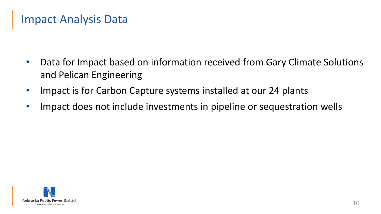- Data for Impact based on information received from Gary Climate Solutions and Pelican Engineering
- Impact is for Carbon Capture systems installed at our 24 plants
- Impact does not include investments in pipeline or sequestration wells



### Impact Analysis Data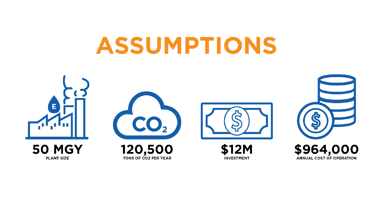## ASSUMPTIONS





**\$12M INVESTMENT** 





ANNUAL COST OF OPERATION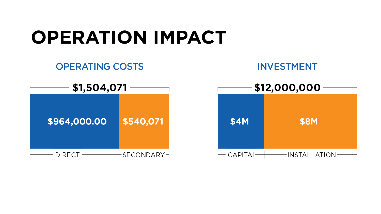

### **OPERATING COSTS**



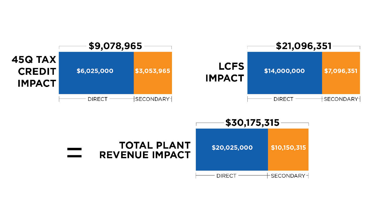





## \$30,175,315 \$10,150,315  $\mathord{\hspace{1pt}\text{--}}$ SECONDARY $\mathord{\hspace{1pt}\text{--}\hspace{1pt}}$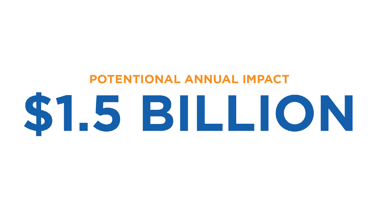# **POTENTIONAL ANNUAL IMPACT** ST.5 BILLION

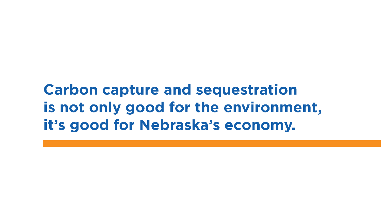## **Carbon capture and sequestration** is not only good for the environment, it's good for Nebraska's economy.